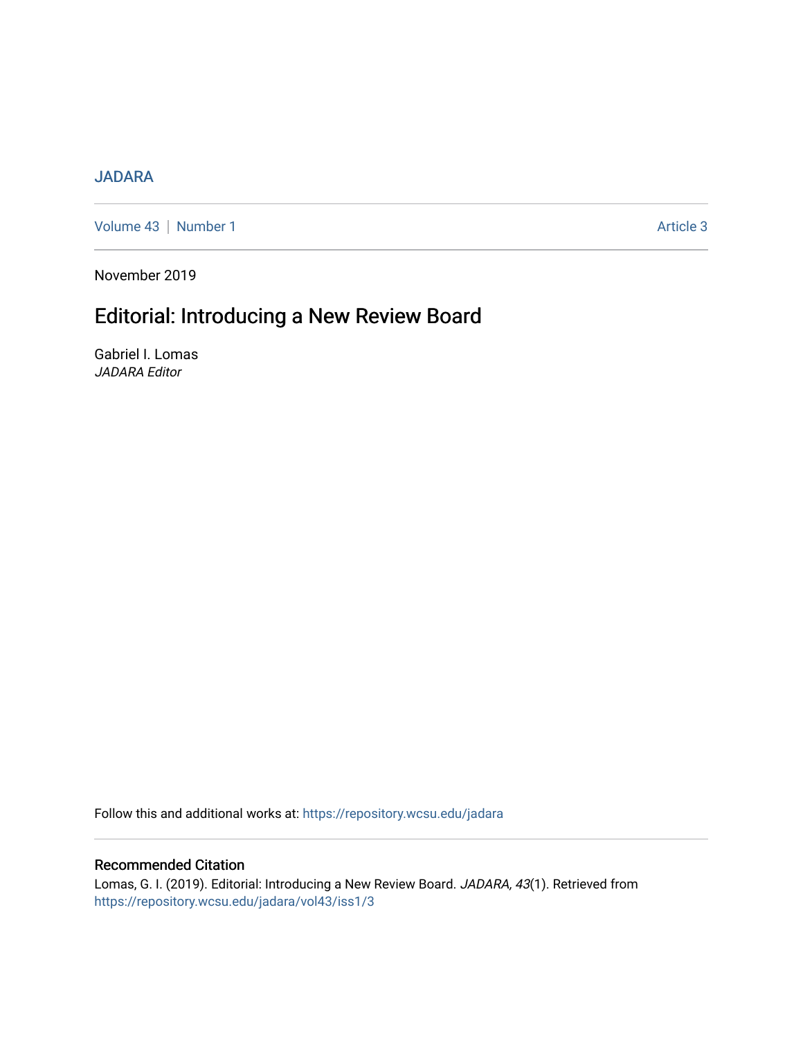#### [JADARA](https://repository.wcsu.edu/jadara)

[Volume 43](https://repository.wcsu.edu/jadara/vol43) | [Number 1](https://repository.wcsu.edu/jadara/vol43/iss1) Article 3

November 2019

# Editorial: Introducing a New Review Board

Gabriel I. Lomas JADARA Editor

Follow this and additional works at: [https://repository.wcsu.edu/jadara](https://repository.wcsu.edu/jadara?utm_source=repository.wcsu.edu%2Fjadara%2Fvol43%2Fiss1%2F3&utm_medium=PDF&utm_campaign=PDFCoverPages)

### Recommended Citation

Lomas, G. I. (2019). Editorial: Introducing a New Review Board. JADARA, 43(1). Retrieved from [https://repository.wcsu.edu/jadara/vol43/iss1/3](https://repository.wcsu.edu/jadara/vol43/iss1/3?utm_source=repository.wcsu.edu%2Fjadara%2Fvol43%2Fiss1%2F3&utm_medium=PDF&utm_campaign=PDFCoverPages)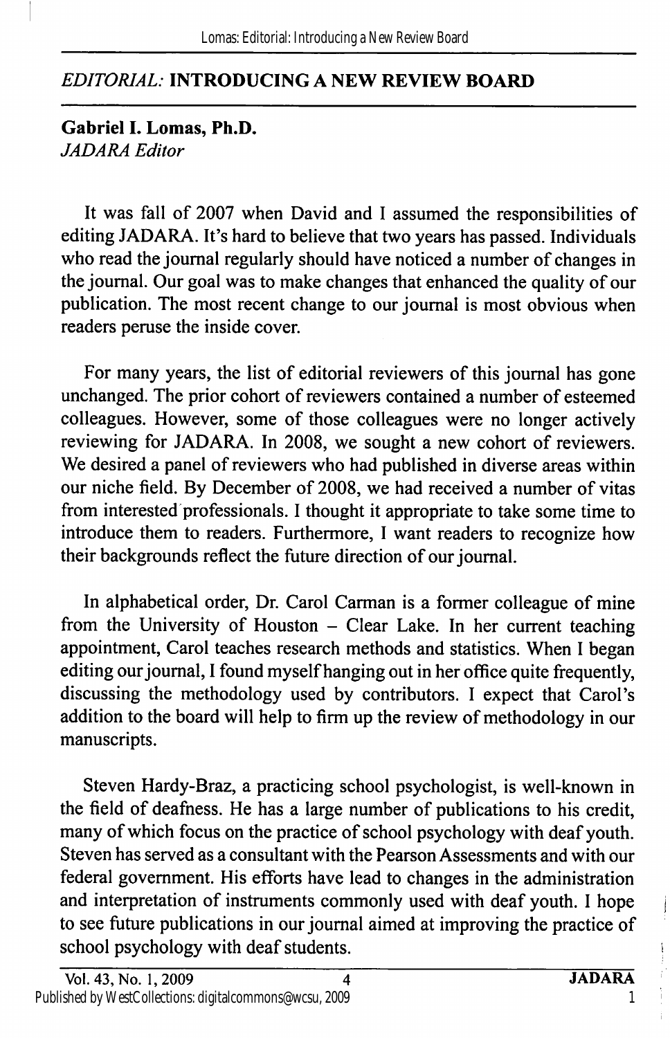## EDITORIAL: INTRODUCING A NEW REVIEW BOARD

Gabriel 1. Lomas, Ph.D. JADARA Editor

It was fall of 2007 when David and I assumed the responsibilities of editing JADARA. It's hard to believe that two years has passed. Individuals who read the journal regularly should have noticed a number of changes in the journal. Our goal was to make changes that enhanced the quality of our publication. The most recent change to our journal is most obvious when readers peruse the inside cover.

For many years, the list of editorial reviewers of this journal has gone unchanged. The prior cohort of reviewers contained a number of esteemed colleagues. However, some of those colleagues were no longer actively reviewing for JADARA. In 2008, we sought a new cohort of reviewers. We desired a panel of reviewers who had published in diverse areas within our niche field. By December of 2008, we had received a number of vitas from interested professionals. I thought it appropriate to take some time to introduce them to readers. Furthermore, I want readers to recognize how their backgrounds reflect the future direction of our journal.

In alphabetical order. Dr. Carol Carman is a former colleague of mine from the University of Houston  $-$  Clear Lake. In her current teaching appointment, Carol teaches research methods and statistics. When I began editing our journal, I found myself hanging out in her office quite frequently, discussing the methodology used by contributors. I expect that Carol's addition to the board will help to firm up the review of methodology in our manuscripts.

Steven Hardy-Braz, a practicing school psychologist, is well-known in the field of deafness. He has a large number of publications to his credit, many of which focus on the practice of school psychology with deaf youth. Steven has served as a consultant with the Pearson Assessments and with our federal government. His efforts have lead to changes in the administration and interpretation of instruments commonly used with deaf youth. I hope to see future publications in our journal aimed at improving the practice of school psychology with deaf students.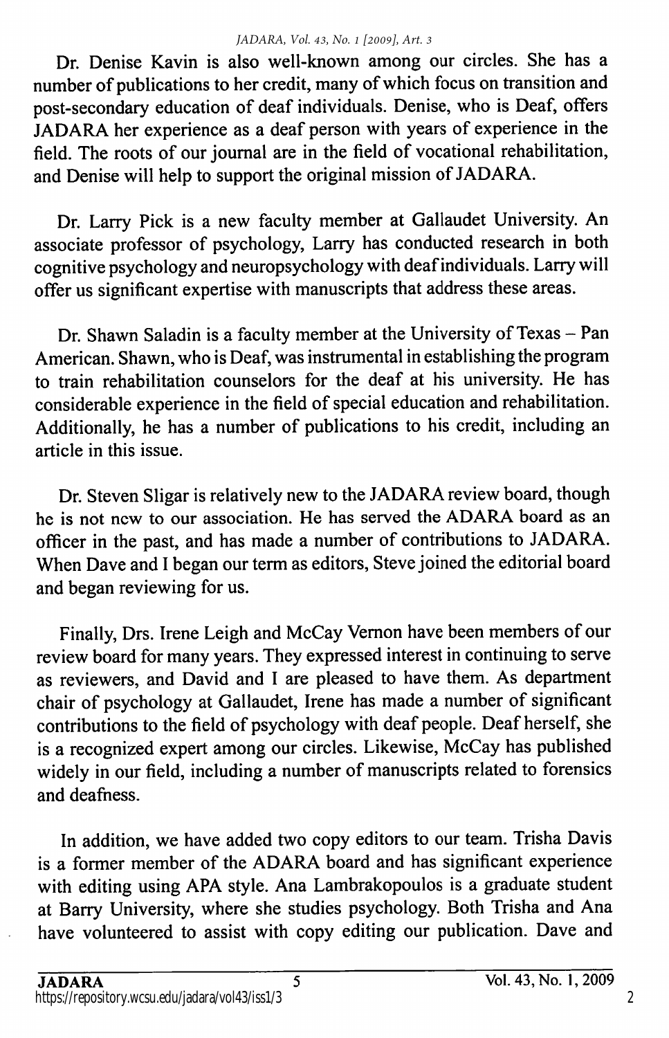Dr. Denise Kavin is also well-known among our circles. She has a number of publications to her credit, many of which focus on transition and post-secondary education of deaf individuals. Denise, who is Deaf, offers JADARA her experience as a deaf person with years of experience in the field. The roots of our journal are in the field of vocational rehabilitation, and Denise will help to support the original mission of JADARA.

Dr. Larry Pick is a new faculty member at Gallaudet University. An associate professor of psychology, Larry has conducted research in both cognitive psychology and neuropsychology with deaf individuals. Larry will offer us significant expertise with manuscripts that address these areas.

Dr. Shawn Saladin is a faculty member at the University of Texas - Pan American. Shawn, who is Deaf, was instrumental in establishing the program to train rehabilitation counselors for the deaf at his university. He has considerable experience in the field of special education and rehabilitation. Additionally, he has a number of publications to his credit, including an article in this issue.

Dr. Steven Sligar is relatively new to the JADARA review board, though he is not new to our association. He has served the ADARA board as an officer in the past, and has made a number of contributions to JADARA. When Dave and I began our term as editors, Steve joined the editorial board and began reviewing for us.

Finally, Drs. Irene Leigh and McCay Vemon have been members of our review board for many years. They expressed interest in continuing to serve as reviewers, and David and I are pleased to have them. As department chair of psychology at Gallaudet, Irene has made a number of significant contributions to the field of psychology with deaf people. Deaf herself, she is a recognized expert among our circles. Likewise, McCay has published widely in our field, including a number of manuscripts related to forensics and deafness.

In addition, we have added two copy editors to our team. Trisha Davis is a former member of the ADARA board and has significant experience with editing using APA style. Ana Lambrakopoulos is a graduate student at Barry University, where she studies psychology. Both Trisha and Ana have volunteered to assist with copy editing our publication. Dave and